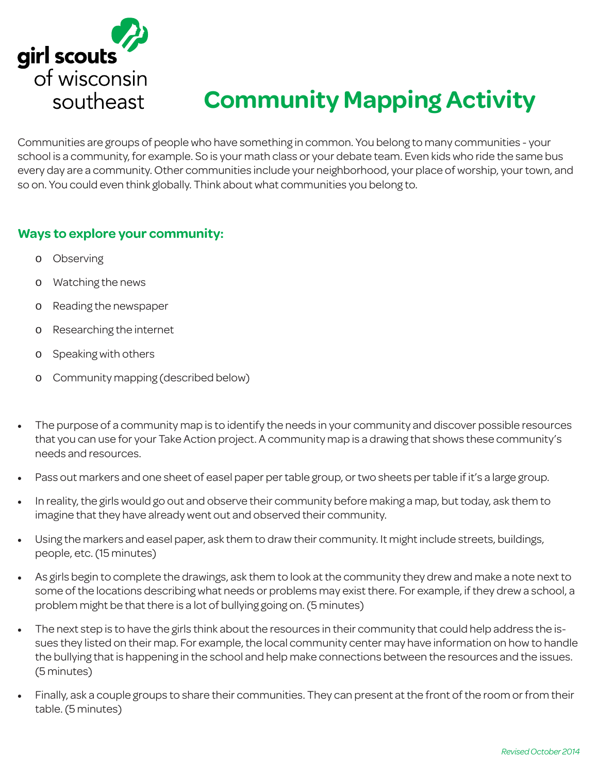

# **Community Mapping Activity**

Communities are groups of people who have something in common. You belong to many communities - your school is a community, for example. So is your math class or your debate team. Even kids who ride the same bus every day are a community. Other communities include your neighborhood, your place of worship, your town, and so on. You could even think globally. Think about what communities you belong to.

### **Ways to explore your community:**

- o Observing
- o Watching the news
- o Reading the newspaper
- o Researching the internet
- o Speaking with others
- o Community mapping (described below)
- The purpose of a community map is to identify the needs in your community and discover possible resources that you can use for your Take Action project. A community map is a drawing that shows these community's needs and resources.
- Pass out markers and one sheet of easel paper per table group, or two sheets per table if it's a large group.
- In reality, the girls would go out and observe their community before making a map, but today, ask them to imagine that they have already went out and observed their community.
- Using the markers and easel paper, ask them to draw their community. It might include streets, buildings, people, etc. (15 minutes)
- As girls begin to complete the drawings, ask them to look at the community they drew and make a note next to some of the locations describing what needs or problems may exist there. For example, if they drew a school, a problem might be that there is a lot of bullying going on. (5 minutes)
- The next step is to have the girls think about the resources in their community that could help address the issues they listed on their map. For example, the local community center may have information on how to handle the bullying that is happening in the school and help make connections between the resources and the issues. (5 minutes)
- Finally, ask a couple groups to share their communities. They can present at the front of the room or from their table. (5 minutes)